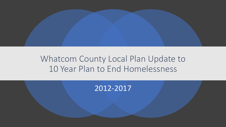

## Whatcom County Local Plan Update to 10 Year Plan to End Homelessness

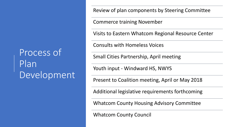Process of Plan Development Review of plan components by Steering Committee

Commerce training November

Visits to Eastern Whatcom Regional Resource Center

Consults with Homeless Voices

Small Cities Partnership, April meeting

Youth input - Windward HS, NWYS

Present to Coalition meeting, April or May 2018

Additional legislative requirements forthcoming

Whatcom County Housing Advisory Committee

Whatcom County Council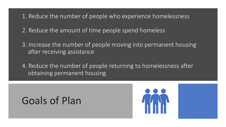1. Reduce the number of people who experience homelessness

2. Reduce the amount of time people spend homeless

3. Increase the number of people moving into permanent housing after receiving assistance

4. Reduce the number of people returning to homelessness after obtaining permanent housing

## Goals of Plan

l<br>I

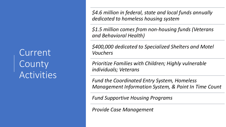Current County **Activities**  *\$4.6 million in federal, state and local funds annually dedicated to homeless housing system*

*\$1.5 million comes from non-housing funds (Veterans and Behavioral Health)*

*\$400,000 dedicated to Specialized Shelters and Motel Vouchers*

*Prioritize Families with Children; Highly vulnerable individuals; Veterans*

*Fund the Coordinated Entry System, Homeless Management Information System, & Point In Time Count*

*Fund Supportive Housing Programs*

*Provide Case Management*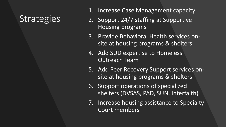## **Strategies**

- 1. Increase Case Management capacity
- 2. Support 24/7 staffing at Supportive Housing programs
- 3. Provide Behavioral Health services onsite at housing programs & shelters
- 4. Add SUD expertise to Homeless Outreach Team
- 5. Add Peer Recovery Support services onsite at housing programs & shelters
- 6. Support operations of specialized shelters (DVSAS, PAD, SUN, Interfaith)
- 7. Increase housing assistance to Specialty Court members